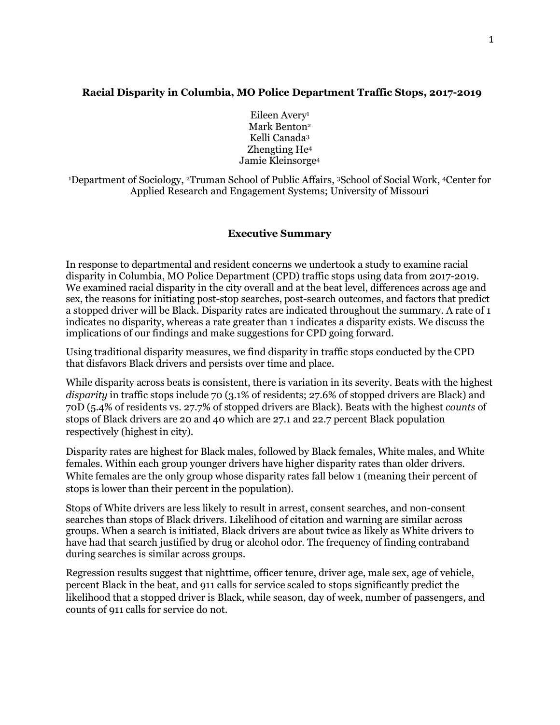# **Racial Disparity in Columbia, MO Police Department Traffic Stops, 2017-2019**

Eileen Avery<sup>1</sup> Mark Benton<sup>2</sup> Kelli Canada3 Zhengting He4 Jamie Kleinsorge4

1 Department of Sociology, 2Truman School of Public Affairs, 3School of Social Work, 4Center for Applied Research and Engagement Systems; University of Missouri

## **Executive Summary**

In response to departmental and resident concerns we undertook a study to examine racial disparity in Columbia, MO Police Department (CPD) traffic stops using data from 2017-2019. We examined racial disparity in the city overall and at the beat level, differences across age and sex, the reasons for initiating post-stop searches, post-search outcomes, and factors that predict a stopped driver will be Black. Disparity rates are indicated throughout the summary. A rate of 1 indicates no disparity, whereas a rate greater than 1 indicates a disparity exists. We discuss the implications of our findings and make suggestions for CPD going forward.

Using traditional disparity measures, we find disparity in traffic stops conducted by the CPD that disfavors Black drivers and persists over time and place.

While disparity across beats is consistent, there is variation in its severity. Beats with the highest *disparity* in traffic stops include 70 (3.1% of residents; 27.6% of stopped drivers are Black) and 70D (5.4% of residents vs. 27.7% of stopped drivers are Black). Beats with the highest *counts* of stops of Black drivers are 20 and 40 which are 27.1 and 22.7 percent Black population respectively (highest in city).

Disparity rates are highest for Black males, followed by Black females, White males, and White females. Within each group younger drivers have higher disparity rates than older drivers. White females are the only group whose disparity rates fall below 1 (meaning their percent of stops is lower than their percent in the population).

Stops of White drivers are less likely to result in arrest, consent searches, and non-consent searches than stops of Black drivers. Likelihood of citation and warning are similar across groups. When a search is initiated, Black drivers are about twice as likely as White drivers to have had that search justified by drug or alcohol odor. The frequency of finding contraband during searches is similar across groups.

Regression results suggest that nighttime, officer tenure, driver age, male sex, age of vehicle, percent Black in the beat, and 911 calls for service scaled to stops significantly predict the likelihood that a stopped driver is Black, while season, day of week, number of passengers, and counts of 911 calls for service do not.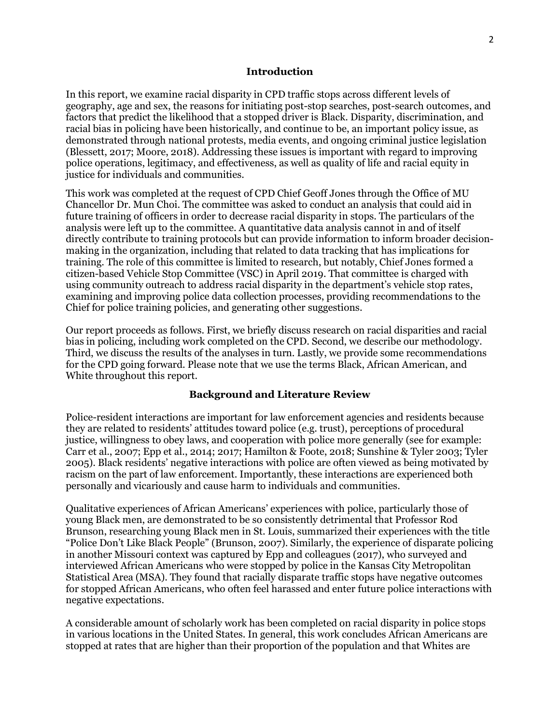### **Introduction**

In this report, we examine racial disparity in CPD traffic stops across different levels of geography, age and sex, the reasons for initiating post-stop searches, post-search outcomes, and factors that predict the likelihood that a stopped driver is Black. Disparity, discrimination, and racial bias in policing have been historically, and continue to be, an important policy issue, as demonstrated through national protests, media events, and ongoing criminal justice legislation (Blessett, 2017; Moore, 2018). Addressing these issues is important with regard to improving police operations, legitimacy, and effectiveness, as well as quality of life and racial equity in justice for individuals and communities.

This work was completed at the request of CPD Chief Geoff Jones through the Office of MU Chancellor Dr. Mun Choi. The committee was asked to conduct an analysis that could aid in future training of officers in order to decrease racial disparity in stops. The particulars of the analysis were left up to the committee. A quantitative data analysis cannot in and of itself directly contribute to training protocols but can provide information to inform broader decisionmaking in the organization, including that related to data tracking that has implications for training. The role of this committee is limited to research, but notably, Chief Jones formed a citizen-based Vehicle Stop Committee (VSC) in April 2019. That committee is charged with using community outreach to address racial disparity in the department's vehicle stop rates, examining and improving police data collection processes, providing recommendations to the Chief for police training policies, and generating other suggestions.

Our report proceeds as follows. First, we briefly discuss research on racial disparities and racial bias in policing, including work completed on the CPD. Second, we describe our methodology. Third, we discuss the results of the analyses in turn. Lastly, we provide some recommendations for the CPD going forward. Please note that we use the terms Black, African American, and White throughout this report.

## **Background and Literature Review**

Police-resident interactions are important for law enforcement agencies and residents because they are related to residents' attitudes toward police (e.g. trust), perceptions of procedural justice, willingness to obey laws, and cooperation with police more generally (see for example: Carr et al., 2007; Epp et al., 2014; 2017; Hamilton & Foote, 2018; Sunshine & Tyler 2003; Tyler 2005). Black residents' negative interactions with police are often viewed as being motivated by racism on the part of law enforcement. Importantly, these interactions are experienced both personally and vicariously and cause harm to individuals and communities.

Qualitative experiences of African Americans' experiences with police, particularly those of young Black men, are demonstrated to be so consistently detrimental that Professor Rod Brunson, researching young Black men in St. Louis, summarized their experiences with the title "Police Don't Like Black People" (Brunson, 2007). Similarly, the experience of disparate policing in another Missouri context was captured by Epp and colleagues (2017), who surveyed and interviewed African Americans who were stopped by police in the Kansas City Metropolitan Statistical Area (MSA). They found that racially disparate traffic stops have negative outcomes for stopped African Americans, who often feel harassed and enter future police interactions with negative expectations.

A considerable amount of scholarly work has been completed on racial disparity in police stops in various locations in the United States. In general, this work concludes African Americans are stopped at rates that are higher than their proportion of the population and that Whites are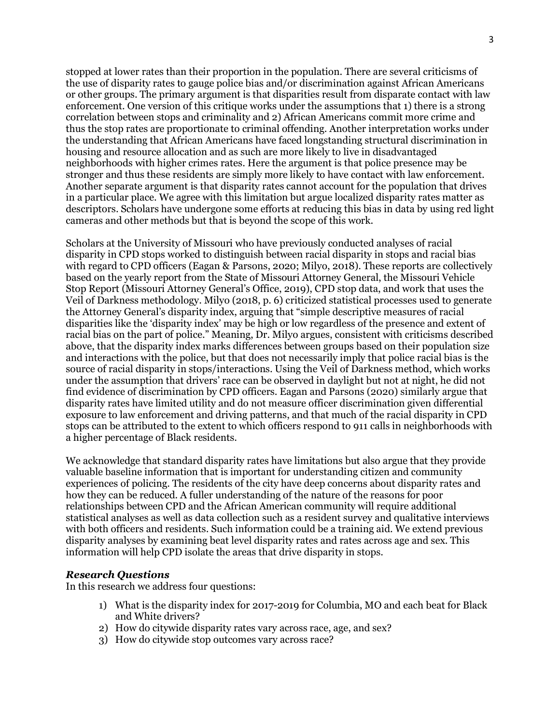stopped at lower rates than their proportion in the population. There are several criticisms of the use of disparity rates to gauge police bias and/or discrimination against African Americans or other groups. The primary argument is that disparities result from disparate contact with law enforcement. One version of this critique works under the assumptions that 1) there is a strong correlation between stops and criminality and 2) African Americans commit more crime and thus the stop rates are proportionate to criminal offending. Another interpretation works under the understanding that African Americans have faced longstanding structural discrimination in housing and resource allocation and as such are more likely to live in disadvantaged neighborhoods with higher crimes rates. Here the argument is that police presence may be stronger and thus these residents are simply more likely to have contact with law enforcement. Another separate argument is that disparity rates cannot account for the population that drives in a particular place. We agree with this limitation but argue localized disparity rates matter as descriptors. Scholars have undergone some efforts at reducing this bias in data by using red light cameras and other methods but that is beyond the scope of this work.

Scholars at the University of Missouri who have previously conducted analyses of racial disparity in CPD stops worked to distinguish between racial disparity in stops and racial bias with regard to CPD officers (Eagan & Parsons, 2020; Milyo, 2018). These reports are collectively based on the yearly report from the State of Missouri Attorney General, the Missouri Vehicle Stop Report (Missouri Attorney General's Office, 2019), CPD stop data, and work that uses the Veil of Darkness methodology. Milyo (2018, p. 6) criticized statistical processes used to generate the Attorney General's disparity index, arguing that "simple descriptive measures of racial disparities like the 'disparity index' may be high or low regardless of the presence and extent of racial bias on the part of police." Meaning, Dr. Milyo argues, consistent with criticisms described above, that the disparity index marks differences between groups based on their population size and interactions with the police, but that does not necessarily imply that police racial bias is the source of racial disparity in stops/interactions. Using the Veil of Darkness method, which works under the assumption that drivers' race can be observed in daylight but not at night, he did not find evidence of discrimination by CPD officers. Eagan and Parsons (2020) similarly argue that disparity rates have limited utility and do not measure officer discrimination given differential exposure to law enforcement and driving patterns, and that much of the racial disparity in CPD stops can be attributed to the extent to which officers respond to 911 calls in neighborhoods with a higher percentage of Black residents.

We acknowledge that standard disparity rates have limitations but also argue that they provide valuable baseline information that is important for understanding citizen and community experiences of policing. The residents of the city have deep concerns about disparity rates and how they can be reduced. A fuller understanding of the nature of the reasons for poor relationships between CPD and the African American community will require additional statistical analyses as well as data collection such as a resident survey and qualitative interviews with both officers and residents. Such information could be a training aid. We extend previous disparity analyses by examining beat level disparity rates and rates across age and sex. This information will help CPD isolate the areas that drive disparity in stops.

## *Research Questions*

In this research we address four questions:

- 1) What is the disparity index for 2017-2019 for Columbia, MO and each beat for Black and White drivers?
- 2) How do citywide disparity rates vary across race, age, and sex?
- 3) How do citywide stop outcomes vary across race?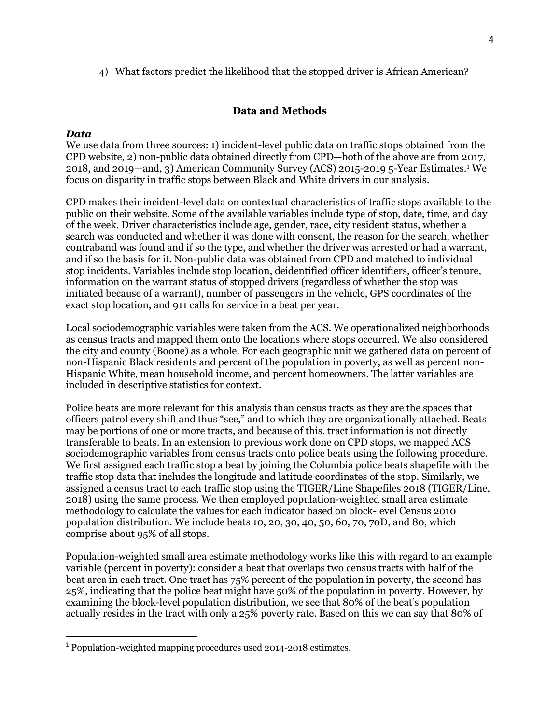4) What factors predict the likelihood that the stopped driver is African American?

# **Data and Methods**

## *Data*

We use data from three sources: 1) incident-level public data on traffic stops obtained from the CPD website, 2) non-public data obtained directly from CPD—both of the above are from 2017, 2018, and 2019—and, 3) American Community Survey (ACS) 2015-2019 5-Year Estimates[.1](#page-3-0) We focus on disparity in traffic stops between Black and White drivers in our analysis.

CPD makes their incident-level data on contextual characteristics of traffic stops available to the public on their website. Some of the available variables include type of stop, date, time, and day of the week. Driver characteristics include age, gender, race, city resident status, whether a search was conducted and whether it was done with consent, the reason for the search, whether contraband was found and if so the type, and whether the driver was arrested or had a warrant, and if so the basis for it. Non-public data was obtained from CPD and matched to individual stop incidents. Variables include stop location, deidentified officer identifiers, officer's tenure, information on the warrant status of stopped drivers (regardless of whether the stop was initiated because of a warrant), number of passengers in the vehicle, GPS coordinates of the exact stop location, and 911 calls for service in a beat per year.

Local sociodemographic variables were taken from the ACS. We operationalized neighborhoods as census tracts and mapped them onto the locations where stops occurred. We also considered the city and county (Boone) as a whole. For each geographic unit we gathered data on percent of non-Hispanic Black residents and percent of the population in poverty, as well as percent non-Hispanic White, mean household income, and percent homeowners. The latter variables are included in descriptive statistics for context.

Police beats are more relevant for this analysis than census tracts as they are the spaces that officers patrol every shift and thus "see," and to which they are organizationally attached. Beats may be portions of one or more tracts, and because of this, tract information is not directly transferable to beats. In an extension to previous work done on CPD stops, we mapped ACS sociodemographic variables from census tracts onto police beats using the following procedure. We first assigned each traffic stop a beat by joining the Columbia police beats shapefile with the traffic stop data that includes the longitude and latitude coordinates of the stop. Similarly, we assigned a census tract to each traffic stop using the TIGER/Line Shapefiles 2018 (TIGER/Line, 2018) using the same process. We then employed population-weighted small area estimate methodology to calculate the values for each indicator based on block-level Census 2010 population distribution. We include beats 10, 20, 30, 40, 50, 60, 70, 70D, and 80, which comprise about 95% of all stops.

Population-weighted small area estimate methodology works like this with regard to an example variable (percent in poverty): consider a beat that overlaps two census tracts with half of the beat area in each tract. One tract has 75% percent of the population in poverty, the second has 25%, indicating that the police beat might have 50% of the population in poverty. However, by examining the block-level population distribution, we see that 80% of the beat's population actually resides in the tract with only a 25% poverty rate. Based on this we can say that 80% of

<span id="page-3-0"></span><sup>1</sup> Population-weighted mapping procedures used 2014-2018 estimates.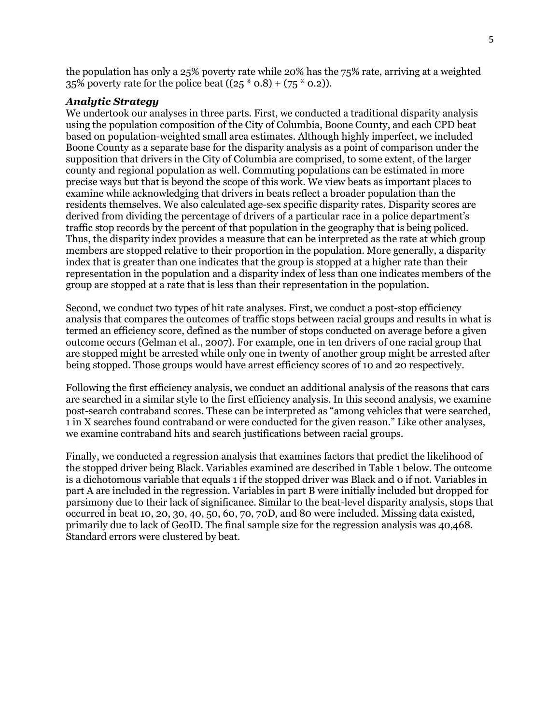the population has only a 25% poverty rate while 20% has the 75% rate, arriving at a weighted 35% poverty rate for the police beat  $((25 * 0.8) + (75 * 0.2))$ .

## *Analytic Strategy*

We undertook our analyses in three parts. First, we conducted a traditional disparity analysis using the population composition of the City of Columbia, Boone County, and each CPD beat based on population-weighted small area estimates. Although highly imperfect, we included Boone County as a separate base for the disparity analysis as a point of comparison under the supposition that drivers in the City of Columbia are comprised, to some extent, of the larger county and regional population as well. Commuting populations can be estimated in more precise ways but that is beyond the scope of this work. We view beats as important places to examine while acknowledging that drivers in beats reflect a broader population than the residents themselves. We also calculated age-sex specific disparity rates. Disparity scores are derived from dividing the percentage of drivers of a particular race in a police department's traffic stop records by the percent of that population in the geography that is being policed. Thus, the disparity index provides a measure that can be interpreted as the rate at which group members are stopped relative to their proportion in the population. More generally, a disparity index that is greater than one indicates that the group is stopped at a higher rate than their representation in the population and a disparity index of less than one indicates members of the group are stopped at a rate that is less than their representation in the population.

Second, we conduct two types of hit rate analyses. First, we conduct a post-stop efficiency analysis that compares the outcomes of traffic stops between racial groups and results in what is termed an efficiency score, defined as the number of stops conducted on average before a given outcome occurs (Gelman et al., 2007). For example, one in ten drivers of one racial group that are stopped might be arrested while only one in twenty of another group might be arrested after being stopped. Those groups would have arrest efficiency scores of 10 and 20 respectively.

Following the first efficiency analysis, we conduct an additional analysis of the reasons that cars are searched in a similar style to the first efficiency analysis. In this second analysis, we examine post-search contraband scores. These can be interpreted as "among vehicles that were searched, 1 in X searches found contraband or were conducted for the given reason." Like other analyses, we examine contraband hits and search justifications between racial groups.

Finally, we conducted a regression analysis that examines factors that predict the likelihood of the stopped driver being Black. Variables examined are described in Table 1 below. The outcome is a dichotomous variable that equals 1 if the stopped driver was Black and 0 if not. Variables in part A are included in the regression. Variables in part B were initially included but dropped for parsimony due to their lack of significance. Similar to the beat-level disparity analysis, stops that occurred in beat 10, 20, 30, 40, 50, 60, 70, 70D, and 80 were included. Missing data existed, primarily due to lack of GeoID. The final sample size for the regression analysis was 40,468. Standard errors were clustered by beat.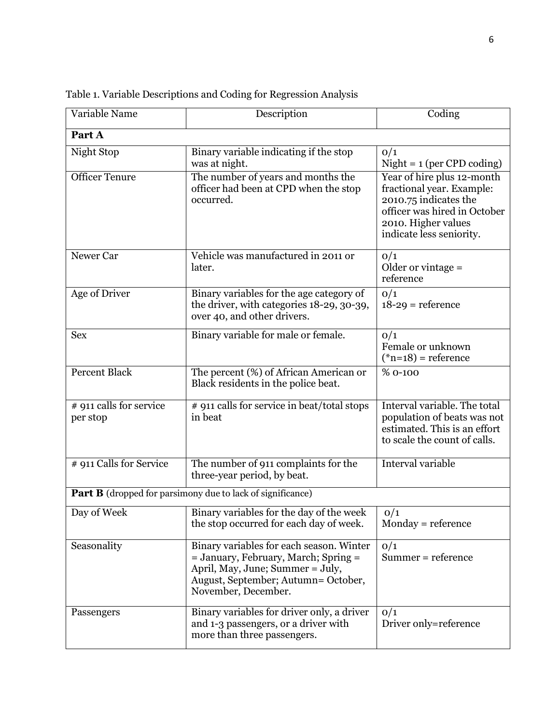| Variable Name                       | Description                                                                                                                                                                        | Coding                                                                                                                                                              |  |  |  |  |  |  |
|-------------------------------------|------------------------------------------------------------------------------------------------------------------------------------------------------------------------------------|---------------------------------------------------------------------------------------------------------------------------------------------------------------------|--|--|--|--|--|--|
| Part A                              |                                                                                                                                                                                    |                                                                                                                                                                     |  |  |  |  |  |  |
| Night Stop                          | Binary variable indicating if the stop<br>was at night.                                                                                                                            | O/1<br>$Night = 1$ (per CPD coding)                                                                                                                                 |  |  |  |  |  |  |
| <b>Officer Tenure</b>               | The number of years and months the<br>officer had been at CPD when the stop<br>occurred.                                                                                           | Year of hire plus 12-month<br>fractional year. Example:<br>2010.75 indicates the<br>officer was hired in October<br>2010. Higher values<br>indicate less seniority. |  |  |  |  |  |  |
| Newer Car                           | Vehicle was manufactured in 2011 or<br>later.                                                                                                                                      | 0/1<br>Older or vintage $=$<br>reference                                                                                                                            |  |  |  |  |  |  |
| Age of Driver                       | Binary variables for the age category of<br>the driver, with categories 18-29, 30-39,<br>over 40, and other drivers.                                                               | O/1<br>$18-29$ = reference                                                                                                                                          |  |  |  |  |  |  |
| <b>Sex</b>                          | Binary variable for male or female.                                                                                                                                                | O/1<br>Female or unknown<br>$(*n=18)$ = reference                                                                                                                   |  |  |  |  |  |  |
| <b>Percent Black</b>                | The percent (%) of African American or<br>Black residents in the police beat.                                                                                                      | % 0-100                                                                                                                                                             |  |  |  |  |  |  |
| # 911 calls for service<br>per stop | # 911 calls for service in beat/total stops<br>in beat                                                                                                                             | Interval variable. The total<br>population of beats was not<br>estimated. This is an effort<br>to scale the count of calls.                                         |  |  |  |  |  |  |
| # 911 Calls for Service             | The number of 911 complaints for the<br>three-year period, by beat.                                                                                                                | <b>Interval variable</b>                                                                                                                                            |  |  |  |  |  |  |
|                                     | <b>Part B</b> (dropped for parsimony due to lack of significance)                                                                                                                  |                                                                                                                                                                     |  |  |  |  |  |  |
| Day of Week                         | Binary variables for the day of the week<br>the stop occurred for each day of week.                                                                                                | 0/1<br>$Monday = reference$                                                                                                                                         |  |  |  |  |  |  |
| Seasonality                         | Binary variables for each season. Winter<br>= January, February, March; Spring =<br>April, May, June; Summer = July,<br>August, September; Autumn= October,<br>November, December. | 0/1<br>Summer = reference                                                                                                                                           |  |  |  |  |  |  |
| Passengers                          | Binary variables for driver only, a driver<br>and 1-3 passengers, or a driver with<br>more than three passengers.                                                                  | 0/1<br>Driver only=reference                                                                                                                                        |  |  |  |  |  |  |

Table 1. Variable Descriptions and Coding for Regression Analysis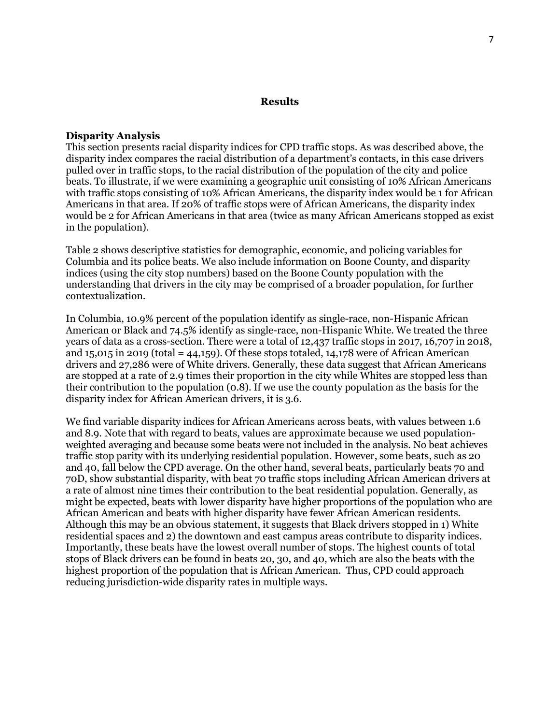#### **Results**

### **Disparity Analysis**

This section presents racial disparity indices for CPD traffic stops. As was described above, the disparity index compares the racial distribution of a department's contacts, in this case drivers pulled over in traffic stops, to the racial distribution of the population of the city and police beats. To illustrate, if we were examining a geographic unit consisting of 10% African Americans with traffic stops consisting of 10% African Americans, the disparity index would be 1 for African Americans in that area. If 20% of traffic stops were of African Americans, the disparity index would be 2 for African Americans in that area (twice as many African Americans stopped as exist in the population).

Table 2 shows descriptive statistics for demographic, economic, and policing variables for Columbia and its police beats. We also include information on Boone County, and disparity indices (using the city stop numbers) based on the Boone County population with the understanding that drivers in the city may be comprised of a broader population, for further contextualization.

In Columbia, 10.9% percent of the population identify as single-race, non-Hispanic African American or Black and 74.5% identify as single-race, non-Hispanic White. We treated the three years of data as a cross-section. There were a total of 12,437 traffic stops in 2017, 16,707 in 2018, and  $15,015$  in 2019 (total = 44,159). Of these stops totaled,  $14,178$  were of African American drivers and 27,286 were of White drivers. Generally, these data suggest that African Americans are stopped at a rate of 2.9 times their proportion in the city while Whites are stopped less than their contribution to the population (0.8). If we use the county population as the basis for the disparity index for African American drivers, it is 3.6.

We find variable disparity indices for African Americans across beats, with values between 1.6 and 8.9. Note that with regard to beats, values are approximate because we used populationweighted averaging and because some beats were not included in the analysis. No beat achieves traffic stop parity with its underlying residential population. However, some beats, such as 20 and 40, fall below the CPD average. On the other hand, several beats, particularly beats 70 and 70D, show substantial disparity, with beat 70 traffic stops including African American drivers at a rate of almost nine times their contribution to the beat residential population. Generally, as might be expected, beats with lower disparity have higher proportions of the population who are African American and beats with higher disparity have fewer African American residents. Although this may be an obvious statement, it suggests that Black drivers stopped in 1) White residential spaces and 2) the downtown and east campus areas contribute to disparity indices. Importantly, these beats have the lowest overall number of stops. The highest counts of total stops of Black drivers can be found in beats 20, 30, and 40, which are also the beats with the highest proportion of the population that is African American. Thus, CPD could approach reducing jurisdiction-wide disparity rates in multiple ways.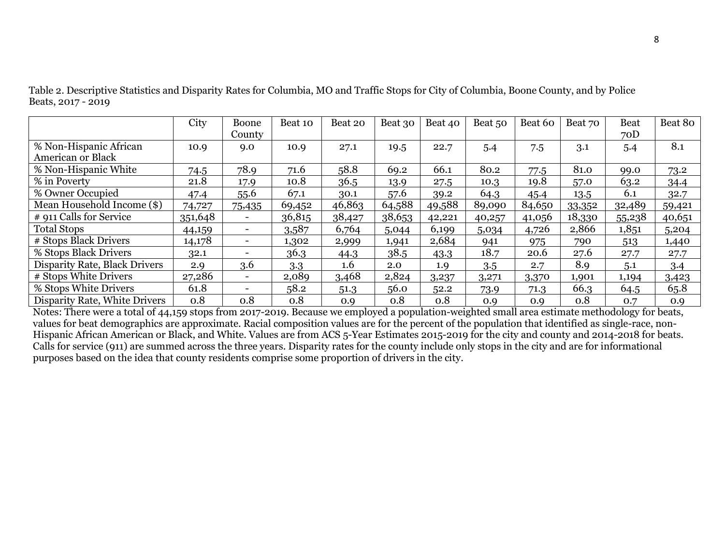|                               | City    | Boone<br>County          | Beat 10 | Beat 20 | Beat 30 | Beat 40 | Beat 50 | Beat 60 | Beat 70 | <b>Beat</b><br>70D | Beat 80 |
|-------------------------------|---------|--------------------------|---------|---------|---------|---------|---------|---------|---------|--------------------|---------|
|                               |         |                          |         |         |         |         |         |         |         |                    |         |
| % Non-Hispanic African        | 10.9    | 9.0                      | 10.9    | 27.1    | 19.5    | 22.7    | 5.4     | 7.5     | 3.1     | 5.4                | 8.1     |
| American or Black             |         |                          |         |         |         |         |         |         |         |                    |         |
| % Non-Hispanic White          | 74.5    | 78.9                     | 71.6    | 58.8    | 69.2    | 66.1    | 80.2    | 77.5    | 81.0    | 99.0               | 73.2    |
| % in Poverty                  | 21.8    | 17.9                     | 10.8    | 36.5    | 13.9    | 27.5    | 10.3    | 19.8    | 57.0    | 63.2               | 34.4    |
| % Owner Occupied              | 47.4    | 55.6                     | 67.1    | 30.1    | 57.6    | 39.2    | 64.3    | 45.4    | 13.5    | 6.1                | 32.7    |
| Mean Household Income (\$)    | 74,727  | 75,435                   | 69,452  | 46,863  | 64,588  | 49,588  | 89,090  | 84,650  | 33,352  | 32,489             | 59,421  |
| # 911 Calls for Service       | 351,648 | $\sim$                   | 36,815  | 38,427  | 38,653  | 42,221  | 40,257  | 41,056  | 18,330  | 55,238             | 40,651  |
| <b>Total Stops</b>            | 44,159  | $\overline{\phantom{0}}$ | 3,587   | 6,764   | 5,044   | 6,199   | 5,034   | 4,726   | 2,866   | 1,851              | 5,204   |
| # Stops Black Drivers         | 14,178  | $\overline{\phantom{a}}$ | 1,302   | 2,999   | 1,941   | 2,684   | 941     | 975     | 790     | 513                | 1,440   |
| % Stops Black Drivers         | 32.1    | ۰.                       | 36.3    | 44.3    | 38.5    | 43.3    | 18.7    | 20.6    | 27.6    | 27.7               | 27.7    |
| Disparity Rate, Black Drivers | 2.9     | 3.6                      | 3.3     | 1.6     | 2.0     | 1.9     | 3.5     | 2.7     | 8.9     | 5.1                | 3.4     |
| # Stops White Drivers         | 27,286  | $\sim$                   | 2,089   | 3,468   | 2,824   | 3,237   | 3,271   | 3,370   | 1,901   | 1,194              | 3,423   |
| % Stops White Drivers         | 61.8    | $\overline{\phantom{a}}$ | 58.2    | 51.3    | 56.0    | 52.2    | 73.9    | 71.3    | 66.3    | 64.5               | 65.8    |
| Disparity Rate, White Drivers | 0.8     | 0.8                      | 0.8     | 0.9     | 0.8     | 0.8     | 0.9     | 0.9     | 0.8     | 0.7                | 0.9     |

Table 2. Descriptive Statistics and Disparity Rates for Columbia, MO and Traffic Stops for City of Columbia, Boone County, and by Police Beats, 2017 - 2019

Notes: There were a total of 44,159 stops from 2017-2019. Because we employed a population-weighted small area estimate methodology for beats, values for beat demographics are approximate. Racial composition values are for the percent of the population that identified as single-race, non-Hispanic African American or Black, and White. Values are from ACS 5-Year Estimates 2015-2019 for the city and county and 2014-2018 for beats. Calls for service (911) are summed across the three years. Disparity rates for the county include only stops in the city and are for informational purposes based on the idea that county residents comprise some proportion of drivers in the city.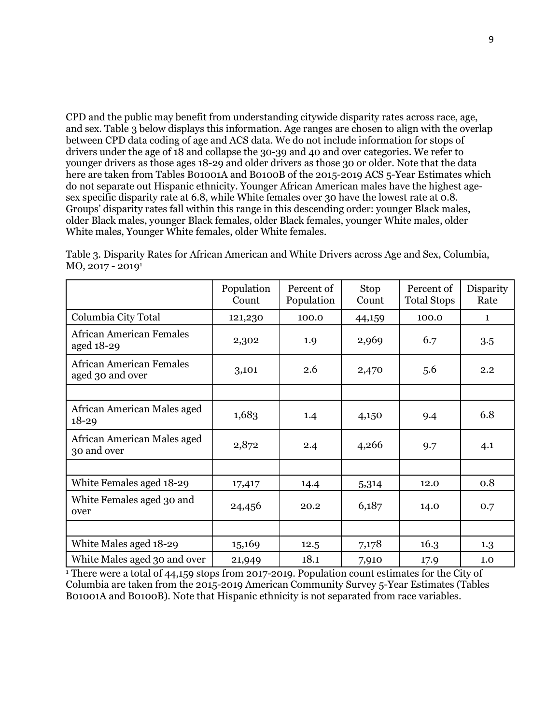CPD and the public may benefit from understanding citywide disparity rates across race, age, and sex. Table 3 below displays this information. Age ranges are chosen to align with the overlap between CPD data coding of age and ACS data. We do not include information for stops of drivers under the age of 18 and collapse the 30-39 and 40 and over categories. We refer to younger drivers as those ages 18-29 and older drivers as those 30 or older. Note that the data here are taken from Tables B01001A and B0100B of the 2015-2019 ACS 5-Year Estimates which do not separate out Hispanic ethnicity. Younger African American males have the highest agesex specific disparity rate at 6.8, while White females over 30 have the lowest rate at 0.8. Groups' disparity rates fall within this range in this descending order: younger Black males, older Black males, younger Black females, older Black females, younger White males, older White males, Younger White females, older White females.

|                                                     | Population<br>Count | Percent of<br>Population | Stop<br>Count | Percent of<br><b>Total Stops</b> | Disparity<br>Rate |
|-----------------------------------------------------|---------------------|--------------------------|---------------|----------------------------------|-------------------|
| Columbia City Total                                 | 121,230             | 100.0                    | 44,159        | 100.0                            | $\mathbf{1}$      |
| <b>African American Females</b><br>aged 18-29       | 2,302               | 2,969<br>1.9             |               | 6.7                              | 3.5               |
| <b>African American Females</b><br>aged 30 and over | 3,101               | 2.6                      | 2,470         | 5.6                              | 2.2               |
|                                                     |                     |                          |               |                                  |                   |
| African American Males aged<br>$18 - 29$            | 1,683               | 1.4                      | 4,150         | 9.4                              | 6.8               |
| African American Males aged<br>30 and over          | 2,872               | 2.4                      | 4,266         | 9.7                              | 4.1               |
|                                                     |                     |                          |               |                                  |                   |
| White Females aged 18-29                            | 17,417              | 14.4                     | 5,314         | 12.0                             | 0.8               |
| White Females aged 30 and<br>over                   | 24,456              | 20.2                     | 6,187         | 14.0                             | 0.7               |
|                                                     |                     |                          |               |                                  |                   |
| White Males aged 18-29                              | 15,169              | 12.5                     | 7,178         | 16.3                             | 1.3               |
| White Males aged 30 and over                        | 21,949              | 18.1                     | 7,910         | 17.9                             | 1.0               |

Table 3. Disparity Rates for African American and White Drivers across Age and Sex, Columbia, MO, 2017 - 20191

<sup>1</sup> There were a total of 44,159 stops from 2017-2019. Population count estimates for the City of Columbia are taken from the 2015-2019 American Community Survey 5-Year Estimates (Tables B01001A and B0100B). Note that Hispanic ethnicity is not separated from race variables.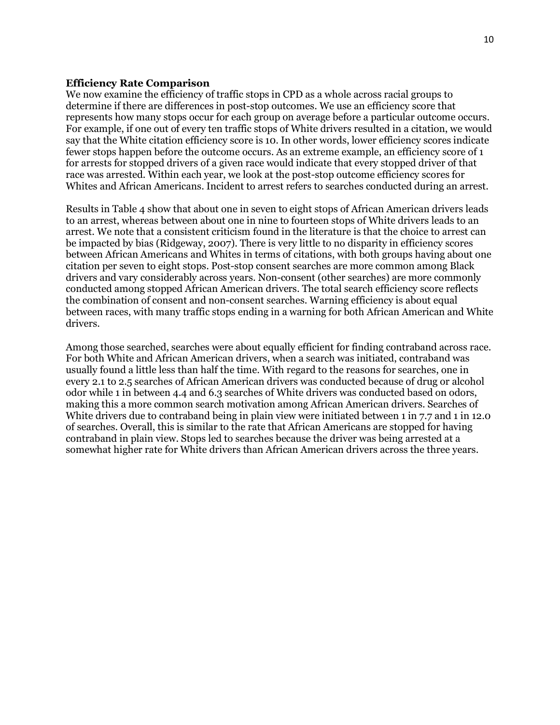#### **Efficiency Rate Comparison**

We now examine the efficiency of traffic stops in CPD as a whole across racial groups to determine if there are differences in post-stop outcomes. We use an efficiency score that represents how many stops occur for each group on average before a particular outcome occurs. For example, if one out of every ten traffic stops of White drivers resulted in a citation, we would say that the White citation efficiency score is 10. In other words, lower efficiency scores indicate fewer stops happen before the outcome occurs. As an extreme example, an efficiency score of 1 for arrests for stopped drivers of a given race would indicate that every stopped driver of that race was arrested. Within each year, we look at the post-stop outcome efficiency scores for Whites and African Americans. Incident to arrest refers to searches conducted during an arrest.

Results in Table 4 show that about one in seven to eight stops of African American drivers leads to an arrest, whereas between about one in nine to fourteen stops of White drivers leads to an arrest. We note that a consistent criticism found in the literature is that the choice to arrest can be impacted by bias (Ridgeway, 2007). There is very little to no disparity in efficiency scores between African Americans and Whites in terms of citations, with both groups having about one citation per seven to eight stops. Post-stop consent searches are more common among Black drivers and vary considerably across years. Non-consent (other searches) are more commonly conducted among stopped African American drivers. The total search efficiency score reflects the combination of consent and non-consent searches. Warning efficiency is about equal between races, with many traffic stops ending in a warning for both African American and White drivers.

Among those searched, searches were about equally efficient for finding contraband across race. For both White and African American drivers, when a search was initiated, contraband was usually found a little less than half the time. With regard to the reasons for searches, one in every 2.1 to 2.5 searches of African American drivers was conducted because of drug or alcohol odor while 1 in between 4.4 and 6.3 searches of White drivers was conducted based on odors, making this a more common search motivation among African American drivers. Searches of White drivers due to contraband being in plain view were initiated between 1 in 7.7 and 1 in 12.0 of searches. Overall, this is similar to the rate that African Americans are stopped for having contraband in plain view. Stops led to searches because the driver was being arrested at a somewhat higher rate for White drivers than African American drivers across the three years.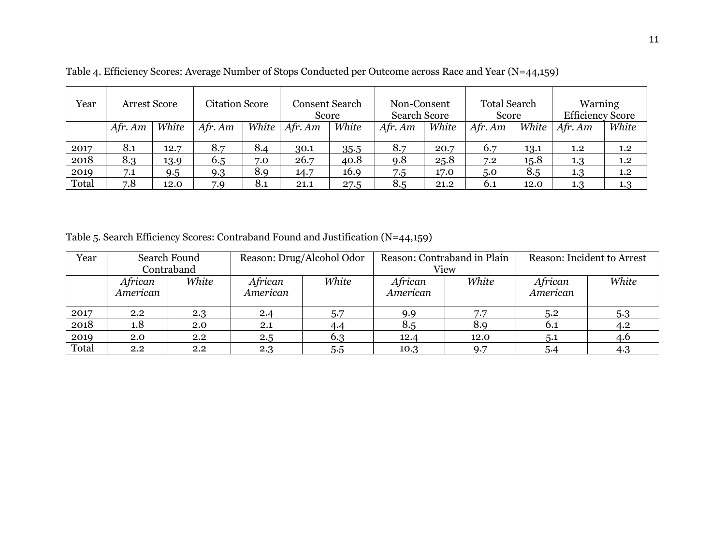| Year  | <b>Arrest Score</b> |       | <b>Citation Score</b> |       | Consent Search<br>Score |       | Non-Consent<br><b>Search Score</b> |       | <b>Total Search</b><br>Score |       | Warning<br><b>Efficiency Score</b> |       |
|-------|---------------------|-------|-----------------------|-------|-------------------------|-------|------------------------------------|-------|------------------------------|-------|------------------------------------|-------|
|       | $Afr.$ Am           | White | $Afr.$ Am             | White | $Afr.$ Am               | White | Afr. Am                            | White | $Afr.$ Am                    | White | $Afr.$ Am                          | White |
| 2017  | 8.1                 | 12.7  | 8.7                   | 8.4   | 30.1                    | 35.5  | 8.7                                | 20.7  | 6.7                          | 13.1  | $1.2\,$                            | 1.2   |
| 2018  | 8.3                 | 13.9  | 6.5                   | 7.0   | 26.7                    | 40.8  | 9.8                                | 25.8  | 7.2                          | 15.8  | 1.3                                | 1.2   |
| 2019  | 7.1                 | 9.5   | 9.3                   | 8.9   | 14.7                    | 16.9  | 7.5                                | 17.0  | 5.0                          | 8.5   | 1.3                                | 1.2   |
| Total | 7.8                 | 12.0  | 7.9                   | 8.1   | 21.1                    | 27.5  | 8.5                                | 21.2  | 6.1                          | 12.0  | 1.3                                | 1.3   |

Table 4. Efficiency Scores: Average Number of Stops Conducted per Outcome across Race and Year (N=44,159)

Table 5. Search Efficiency Scores: Contraband Found and Justification (N=44,159)

| Year  |                     | Search Found | Reason: Drug/Alcohol Odor |       | Reason: Contraband in Plain |       | Reason: Incident to Arrest |       |
|-------|---------------------|--------------|---------------------------|-------|-----------------------------|-------|----------------------------|-------|
|       |                     | Contraband   |                           |       |                             | View  |                            |       |
|       | African<br>American | White        | African<br>American       | White | African<br>American         | White | African<br>American        | White |
| 2017  | $2.2^{\circ}$       | 2.3          | 2.4                       | 5.7   | 9.9                         | 7.7   | 5.2                        | 5.3   |
| 2018  | 1.8                 | 2.0          | 2.1                       | 4.4   | 8.5                         | 8.9   | 6.1                        | 4.2   |
| 2019  | 2.0                 | 2.2          | 2.5                       | 6.3   | 12.4                        | 12.0  | 5.1                        | 4.6   |
| Total | 2.2                 | 2.2          | 2.3                       | 5.5   | 10.3                        | Q.7   | 5.4                        | 4.3   |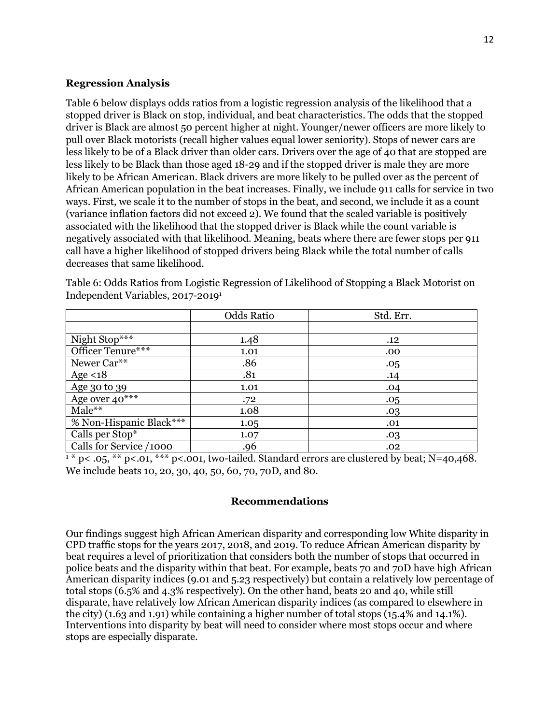## **Regression Analysis**

Table 6 below displays odds ratios from a logistic regression analysis of the likelihood that a stopped driver is Black on stop, individual, and beat characteristics. The odds that the stopped driver is Black are almost 50 percent higher at night. Younger/newer officers are more likely to pull over Black motorists (recall higher values equal lower seniority). Stops of newer cars are less likely to be of a Black driver than older cars. Drivers over the age of 40 that are stopped are less likely to be Black than those aged 18-29 and if the stopped driver is male they are more likely to be African American. Black drivers are more likely to be pulled over as the percent of African American population in the beat increases. Finally, we include 911 calls for service in two ways. First, we scale it to the number of stops in the beat, and second, we include it as a count (variance inflation factors did not exceed 2). We found that the scaled variable is positively associated with the likelihood that the stopped driver is Black while the count variable is negatively associated with that likelihood. Meaning, beats where there are fewer stops per 911 call have a higher likelihood of stopped drivers being Black while the total number of calls decreases that same likelihood.

|                         | <b>Odds Ratio</b> | Std. Err. |
|-------------------------|-------------------|-----------|
|                         |                   |           |
| Night Stop***           | 1.48              | .12       |
| Officer Tenure***       | 1.01              | .00       |
| Newer Car**             | .86               | .05       |
| Age $<18$               | .81               | .14       |
| Age 30 to 39            | 1.01              | .04       |
| Age over $40***$        | .72               | .05       |
| Male**                  | 1.08              | .03       |
| % Non-Hispanic Black*** | 1.05              | .01       |
| Calls per Stop*         | 1.07              | .03       |
| Calls for Service /1000 | .96               | .02       |

Table 6: Odds Ratios from Logistic Regression of Likelihood of Stopping a Black Motorist on Independent Variables, 2017-20191

 $1 * p < .05$ , \*\*  $p < .01$ , \*\*\*  $p < .001$ , two-tailed. Standard errors are clustered by beat; N=40,468. We include beats 10, 20, 30, 40, 50, 60, 70, 70D, and 80.

## **Recommendations**

Our findings suggest high African American disparity and corresponding low White disparity in CPD traffic stops for the years 2017, 2018, and 2019. To reduce African American disparity by beat requires a level of prioritization that considers both the number of stops that occurred in police beats and the disparity within that beat. For example, beats 70 and 70D have high African American disparity indices (9.01 and 5.23 respectively) but contain a relatively low percentage of total stops (6.5% and 4.3% respectively). On the other hand, beats 20 and 40, while still disparate, have relatively low African American disparity indices (as compared to elsewhere in the city) (1.63 and 1.91) while containing a higher number of total stops (15.4% and 14.1%). Interventions into disparity by beat will need to consider where most stops occur and where stops are especially disparate.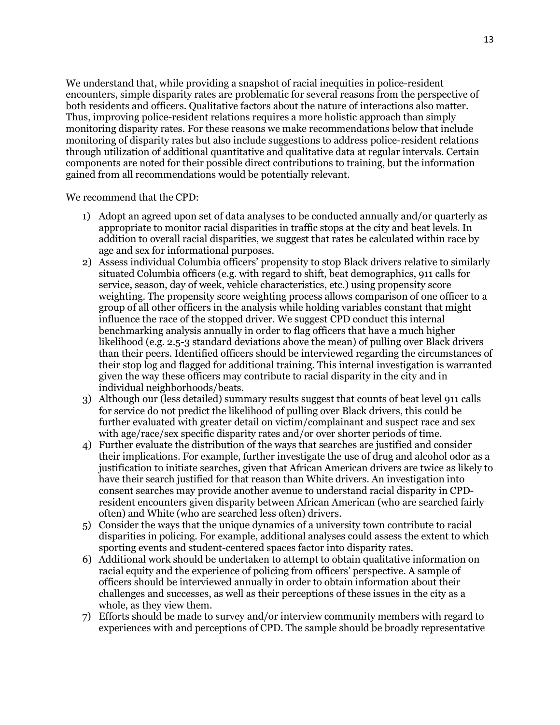We understand that, while providing a snapshot of racial inequities in police-resident encounters, simple disparity rates are problematic for several reasons from the perspective of both residents and officers. Qualitative factors about the nature of interactions also matter. Thus, improving police-resident relations requires a more holistic approach than simply monitoring disparity rates. For these reasons we make recommendations below that include monitoring of disparity rates but also include suggestions to address police-resident relations through utilization of additional quantitative and qualitative data at regular intervals. Certain components are noted for their possible direct contributions to training, but the information gained from all recommendations would be potentially relevant.

We recommend that the CPD:

- 1) Adopt an agreed upon set of data analyses to be conducted annually and/or quarterly as appropriate to monitor racial disparities in traffic stops at the city and beat levels. In addition to overall racial disparities, we suggest that rates be calculated within race by age and sex for informational purposes.
- 2) Assess individual Columbia officers' propensity to stop Black drivers relative to similarly situated Columbia officers (e.g. with regard to shift, beat demographics, 911 calls for service, season, day of week, vehicle characteristics, etc.) using propensity score weighting. The propensity score weighting process allows comparison of one officer to a group of all other officers in the analysis while holding variables constant that might influence the race of the stopped driver. We suggest CPD conduct this internal benchmarking analysis annually in order to flag officers that have a much higher likelihood (e.g. 2.5-3 standard deviations above the mean) of pulling over Black drivers than their peers. Identified officers should be interviewed regarding the circumstances of their stop log and flagged for additional training. This internal investigation is warranted given the way these officers may contribute to racial disparity in the city and in individual neighborhoods/beats.
- 3) Although our (less detailed) summary results suggest that counts of beat level 911 calls for service do not predict the likelihood of pulling over Black drivers, this could be further evaluated with greater detail on victim/complainant and suspect race and sex with age/race/sex specific disparity rates and/or over shorter periods of time.
- 4) Further evaluate the distribution of the ways that searches are justified and consider their implications. For example, further investigate the use of drug and alcohol odor as a justification to initiate searches, given that African American drivers are twice as likely to have their search justified for that reason than White drivers. An investigation into consent searches may provide another avenue to understand racial disparity in CPDresident encounters given disparity between African American (who are searched fairly often) and White (who are searched less often) drivers.
- 5) Consider the ways that the unique dynamics of a university town contribute to racial disparities in policing. For example, additional analyses could assess the extent to which sporting events and student-centered spaces factor into disparity rates.
- 6) Additional work should be undertaken to attempt to obtain qualitative information on racial equity and the experience of policing from officers' perspective. A sample of officers should be interviewed annually in order to obtain information about their challenges and successes, as well as their perceptions of these issues in the city as a whole, as they view them.
- 7) Efforts should be made to survey and/or interview community members with regard to experiences with and perceptions of CPD. The sample should be broadly representative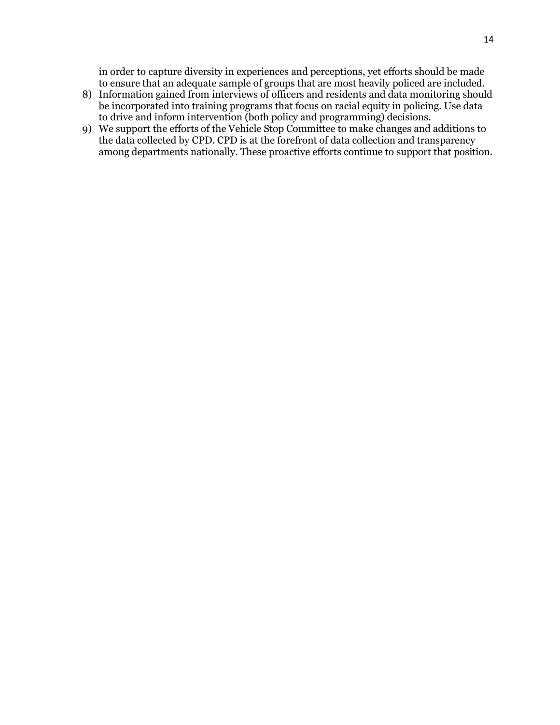in order to capture diversity in experiences and perceptions, yet efforts should be made to ensure that an adequate sample of groups that are most heavily policed are included.

- 8) Information gained from interviews of officers and residents and data monitoring should be incorporated into training programs that focus on racial equity in policing. Use data to drive and inform intervention (both policy and programming) decisions.
- 9) We support the efforts of the Vehicle Stop Committee to make changes and additions to the data collected by CPD. CPD is at the forefront of data collection and transparency among departments nationally. These proactive efforts continue to support that position.